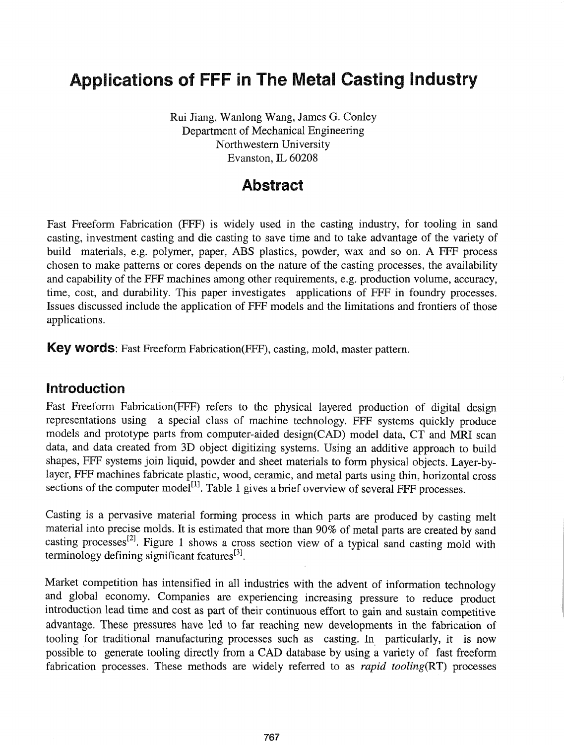# Applications of FFF in The Metal Casting Industry

Rui Jiang, Wanlong Wang, James G. Conley Department of Mechanical Engineering Northwestern University Evanston, IL 60208

# Abstract

Fast Freeform Fabrication (FFF) is widely used in the casting industry, for tooling in sand casting, investment casting and die casting to save time and to take advantage of the variety of build materials, e.g. polymer, paper, ABS plastics, powder, wax and so on. A FFF process chosen to make patterns or cores depends on the nature of the casting processes, the availability and capability of the FFF machines among other requirements, e.g. production volume, accuracy, time, cost, and durability. This paper investigates applications of FFF in foundry processes. Issues discussed include the application of FFF models and the limitations and frontiers of those applications.

Key words: Fast Freeform Fabrication(FFF), casting, mold, master pattern.

#### Introduction

Fast Freeform Fabrication(FFF) refers to the physical layered production of digital design representations using a special class of machine technology. FFF systems quickly produce models and prototype parts from computer-aided design(CAD) model data, CT and MRI scan data, and data created from 3D object digitizing systems. Using an additive approach to build shapes, FFF systems join liquid, powder and sheet materials to form physical objects. Layer-bylayer, FFF machines fabricate plastic, wood, ceramic, and metal parts using thin, horizontal cross sections of the computer model<sup>[1]</sup>. Table 1 gives a brief overview of several FFF processes.

Casting is a pervasive material forming process in which parts are produced by casting melt material into precise molds. It is estimated that more than 90% of metal parts are created by sand casting processes[2]. Figure 1 shows a cross section view of a typical sand casting mold with terminology defining significant features $^{[3]}$ .

Market competition has intensified in all industries with the advent of information technology and global economy. Companies are experiencing increasing pressure to reduce product introduction lead time and cost as part of their continuous effort to gain and sustain competitive advantage. These pressures have led to far reaching new developments in the fabrication of tooling for traditional manufacturing processes such as casting. In particularly, it is now possible to generate tooling directly from a CAD database by using a variety of fast freeform fabrication processes. These methods are widely referred to as *rapid tooling(RT)* processes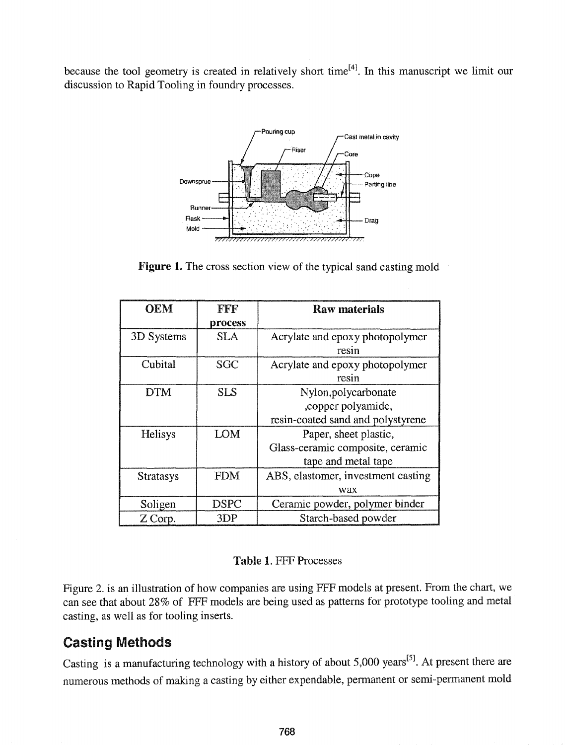because the tool geometry is created in relatively short time<sup>[4]</sup>. In this manuscript we limit our discussion to Rapid Tooling in foundry processes.



Figure 1. The cross section view of the typical sand casting mold

| <b>OEM</b>       | FFF         | <b>Raw materials</b>               |
|------------------|-------------|------------------------------------|
|                  | process     |                                    |
| 3D Systems       | <b>SLA</b>  | Acrylate and epoxy photopolymer    |
|                  |             | resin                              |
| Cubital          | <b>SGC</b>  | Acrylate and epoxy photopolymer    |
|                  |             | resin                              |
| <b>DTM</b>       | <b>SLS</b>  | Nylon, polycarbonate               |
|                  |             | , copper polyamide,                |
|                  |             | resin-coated sand and polystyrene  |
| Helisys          | <b>LOM</b>  | Paper, sheet plastic,              |
|                  |             | Glass-ceramic composite, ceramic   |
|                  |             | tape and metal tape                |
| <b>Stratasys</b> | <b>FDM</b>  | ABS, elastomer, investment casting |
|                  |             | wax                                |
| Soligen          | <b>DSPC</b> | Ceramic powder, polymer binder     |
| Z Corp.          | 3DP         | Starch-based powder                |

#### Table 1. FFF Processes

Figure 2. is an illustration of how companies are using FFF models at present. From the chart, we can see that about 28% of FFF models are being used as patterns for prototype tooling and metal casting, as well as for tooling inserts.

# Casting Methods

Casting is a manufacturing technology with a history of about 5,000 years<sup>[5]</sup>. At present there are numerous methods of making a casting by either expendable, permanent or semi-permanent mold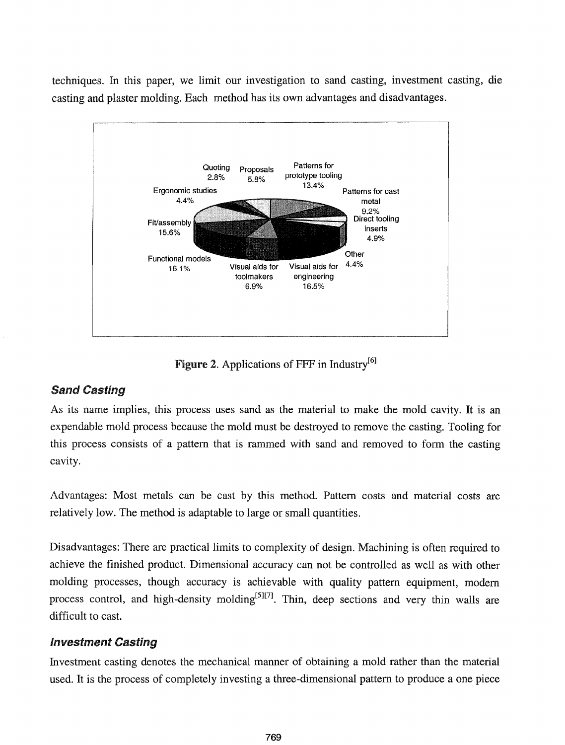techniques. In this paper, we limit our investigation to sand casting, investment casting, die casting and plaster molding. Each method has its own advantages and disadvantages.



Figure 2. Applications of FFF in Industry<sup>[6]</sup>

### Sand Casting

As its name implies, this process uses sand as the material to make the mold cavity. It is an expendable mold process because the mold must be destroyed to remove the casting. Tooling for this process consists of a pattern that is rammed with sand and removed to form the casting cavity.

Advantages: Most metals can be cast by this method. Pattern costs and material costs are relatively low. The method is adaptable to large or small quantities.

Disadvantages: There are practical limits to complexity of design. Machining is often required to achieve the finished product. Dimensional accuracy can not be controlled as well as with other molding processes, though accuracy is achievable with quality pattern equipment, modem process control, and high-density molding<sup>[5][7]</sup>. Thin, deep sections and very thin walls are difficult to cast.

# Investment Casting

Investment casting denotes the mechanical manner of obtaining a mold rather than the material used. It is the process of completely investing a three-dimensional pattern to produce a one piece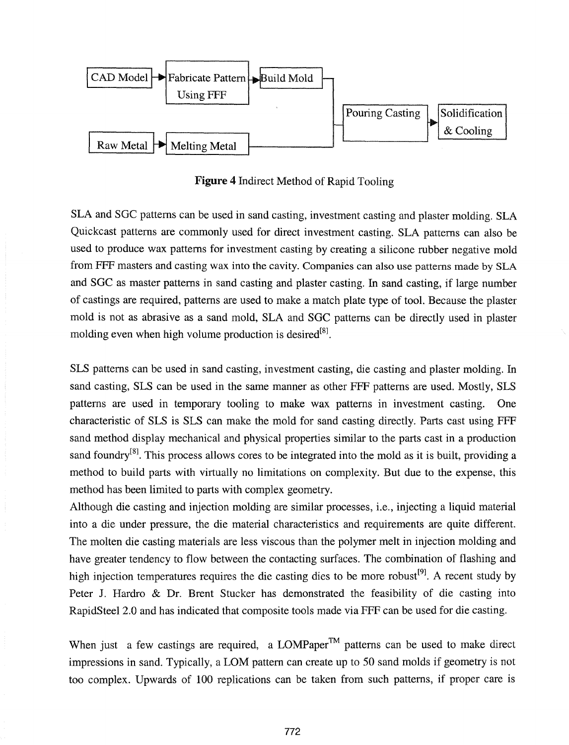

Figure 4 Indirect Method of Rapid Tooling

SLA and SOC patterns can be used in sand casting, investment casting and plaster molding. SLA Quickcast patterns are commonly used for direct investment casting. SLA patterns can also be used to produce wax patterns for investment casting by creating a silicone rubber negative mold from FFF masters and casting wax into the cavity. Companies can also use patterns made by SLA and SOC as master patterns in sand casting and plaster casting. In sand casting, if large number of castings are required, patterns are used to make a match plate type of tool. Because the plaster mold is not as abrasive as a sand mold, SLA and SOC patterns can be directly used in plaster molding even when high volume production is desired $^{[8]}$ .

SLS patterns can be used in sand casting, investment casting, die casting and plaster molding. In sand casting, SLS can be used in the same manner as other FFF patterns are used. Mostly, SLS patterns are used in temporary tooling to make wax patterns in investment casting. One characteristic of SLS is SLS can make the mold for sand casting directly. Parts cast using FFF sand method display mechanical and physical properties similar to the parts cast in a production sand foundry $[8]$ . This process allows cores to be integrated into the mold as it is built, providing a method to build parts with virtually no limitations on complexity. But due to the expense, this method has been limited to parts with complex geometry.

Although die casting and injection molding are similar processes, i.e., injecting a liquid material into a die under pressure, the die material characteristics and requirements are quite different. The molten die casting materials are less viscous than the polymer melt in injection molding and have greater tendency to flow between the contacting surfaces. The combination of flashing and high injection temperatures requires the die casting dies to be more robust<sup>[9]</sup>. A recent study by Peter J. Hardro & Dr. Brent Stucker has demonstrated the feasibility of die casting into RapidSteel 2.0 and has indicated that composite tools made via FFF can be used for die casting.

When just a few castings are required, a LOMPaper™ patterns can be used to make direct impressions in sand. Typically, a LOM pattern can create up to 50 sand molds if geometry is not too complex. Upwards of 100 replications can be taken from such patterns, if proper care is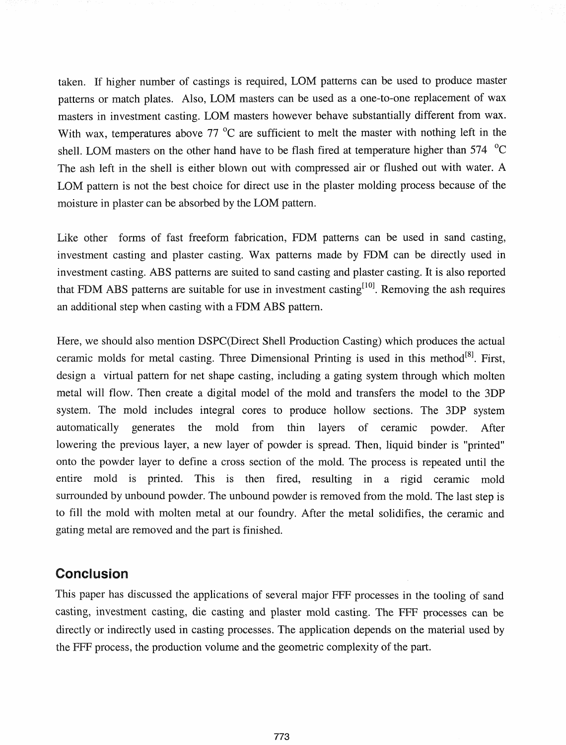taken. If higher number of castings is required, LOM patterns can be used to produce master patterns or match plates. Also, LOM masters can be used as a one-to-one replacement of wax masters in investment casting. LOM masters however behave substantially different from wax. With wax, temperatures above 77 <sup>o</sup>C are sufficient to melt the master with nothing left in the shell. LOM masters on the other hand have to be flash fired at temperature higher than  $574\text{ °C}$ The ash left in the shell is either blown out with compressed air or flushed out with water. A LOM pattern is not the best choice for direct use in the plaster molding process because of the moisture in plaster can be absorbed by the LOM pattern.

Like other forms of fast freeform fabrication, FDM patterns can be used in sand casting, investment casting and plaster casting. Wax patterns made by FDM can be directly used in investment casting. ABS patterns are suited to sand casting and plaster casting. It is also reported that FDM ABS patterns are suitable for use in investment casting<sup>[10]</sup>. Removing the ash requires an additional step when casting with a FDM ABS pattern.

Here, we should also mention DSPC(Direct Shell Production Casting) which produces the actual ceramic molds for metal casting. Three Dimensional Printing is used in this method<sup>[8]</sup>. First, design a virtual pattern for net shape casting, including a gating system through which molten metal will flow. Then create a digital model of the mold and transfers the model to the 3DP system. The mold includes integral cores to produce hollow sections. The 3DP system automatically generates the mold from thin layers of ceramic powder. After lowering the previous layer, a new layer of powder is spread. Then, liquid binder is "printed" onto the powder layer to define a cross section of the mold. The process is repeated until the entire mold is printed. This is then fired, resulting in a rigid ceramic mold surrounded by unbound powder. The unbound powder is removed from the mold. The last step is to fill the mold with molten metal at our foundry. After the metal solidifies, the ceramic and gating metal are removed and the part is finished.

### Conclusion

This paper has discussed the applications of several major FFF processes in the tooling of sand casting, investment casting, die casting and plaster mold casting. The FFF processes can be directly or indirectly used in casting processes. The application depends on the material used by the FFF process, the production volume and the geometric complexity of the part.